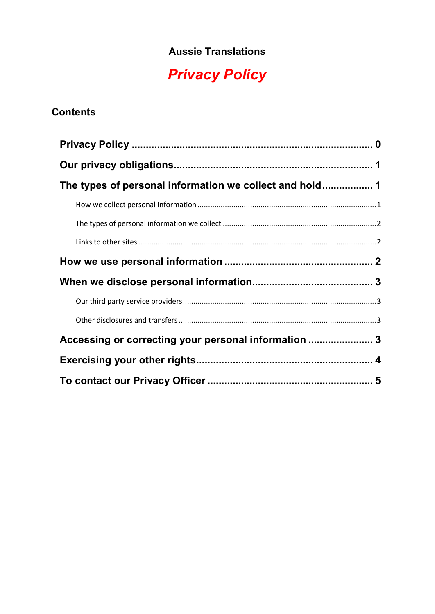### **Aussie Translations**

# *Privacy Policy*

## <span id="page-0-0"></span>**Contents**

| Accessing or correcting your personal information  3 |  |
|------------------------------------------------------|--|
|                                                      |  |
|                                                      |  |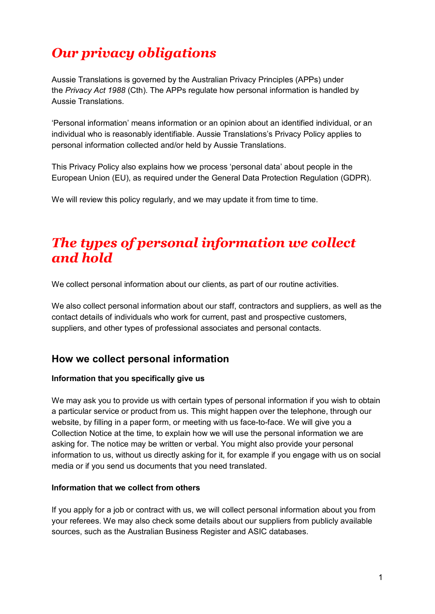# <span id="page-1-0"></span>*Our privacy obligations*

Aussie Translations is governed by the Australian Privacy Principles (APPs) under the *Privacy Act 1988* (Cth). The APPs regulate how personal information is handled by Aussie Translations.

'Personal information' means information or an opinion about an identified individual, or an individual who is reasonably identifiable. Aussie Translations's Privacy Policy applies to personal information collected and/or held by Aussie Translations.

This Privacy Policy also explains how we process 'personal data' about people in the European Union (EU), as required under the General Data Protection Regulation (GDPR).

We will review this policy regularly, and we may update it from time to time.

## <span id="page-1-1"></span>*The types of personal information we collect and hold*

We collect personal information about our clients, as part of our routine activities.

We also collect personal information about our staff, contractors and suppliers, as well as the contact details of individuals who work for current, past and prospective customers, suppliers, and other types of professional associates and personal contacts.

### <span id="page-1-2"></span>**How we collect personal information**

#### **Information that you specifically give us**

We may ask you to provide us with certain types of personal information if you wish to obtain a particular service or product from us. This might happen over the telephone, through our website, by filling in a paper form, or meeting with us face-to-face. We will give you a Collection Notice at the time, to explain how we will use the personal information we are asking for. The notice may be written or verbal. You might also provide your personal information to us, without us directly asking for it, for example if you engage with us on social media or if you send us documents that you need translated.

#### **Information that we collect from others**

If you apply for a job or contract with us, we will collect personal information about you from your referees. We may also check some details about our suppliers from publicly available sources, such as the Australian Business Register and ASIC databases.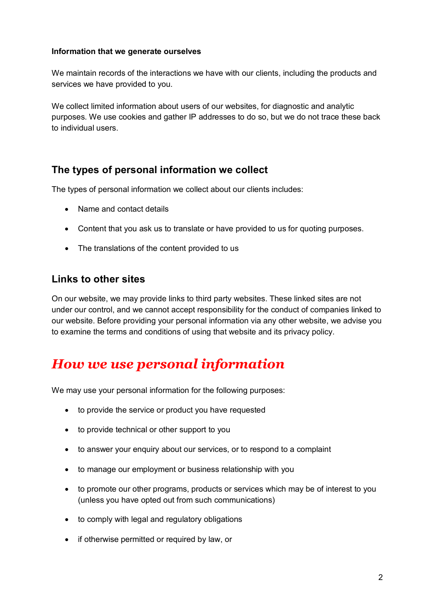#### **Information that we generate ourselves**

We maintain records of the interactions we have with our clients, including the products and services we have provided to you.

We collect limited information about users of our websites, for diagnostic and analytic purposes. We use cookies and gather IP addresses to do so, but we do not trace these back to individual users.

### <span id="page-2-0"></span>**The types of personal information we collect**

The types of personal information we collect about our clients includes:

- Name and contact details
- Content that you ask us to translate or have provided to us for quoting purposes.
- The translations of the content provided to us

### <span id="page-2-1"></span>**Links to other sites**

On our website, we may provide links to third party websites. These linked sites are not under our control, and we cannot accept responsibility for the conduct of companies linked to our website. Before providing your personal information via any other website, we advise you to examine the terms and conditions of using that website and its privacy policy.

## <span id="page-2-2"></span>*How we use personal information*

We may use your personal information for the following purposes:

- to provide the service or product you have requested
- to provide technical or other support to you
- to answer your enquiry about our services, or to respond to a complaint
- to manage our employment or business relationship with you
- to promote our other programs, products or services which may be of interest to you (unless you have opted out from such communications)
- to comply with legal and regulatory obligations
- if otherwise permitted or required by law, or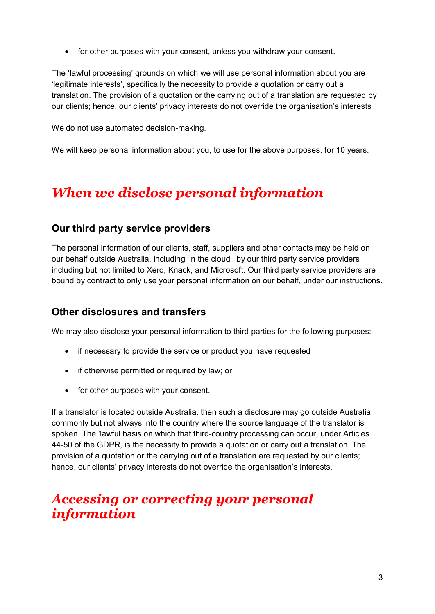• for other purposes with your consent, unless you withdraw your consent.

The 'lawful processing' grounds on which we will use personal information about you are 'legitimate interests', specifically the necessity to provide a quotation or carry out a translation. The provision of a quotation or the carrying out of a translation are requested by our clients; hence, our clients' privacy interests do not override the organisation's interests

We do not use automated decision-making.

We will keep personal information about you, to use for the above purposes, for 10 years.

# <span id="page-3-0"></span>*When we disclose personal information*

#### <span id="page-3-1"></span>**Our third party service providers**

The personal information of our clients, staff, suppliers and other contacts may be held on our behalf outside Australia, including 'in the cloud', by our third party service providers including but not limited to Xero, Knack, and Microsoft. Our third party service providers are bound by contract to only use your personal information on our behalf, under our instructions.

### <span id="page-3-2"></span>**Other disclosures and transfers**

We may also disclose your personal information to third parties for the following purposes:

- if necessary to provide the service or product you have requested
- if otherwise permitted or required by law; or
- for other purposes with your consent.

If a translator is located outside Australia, then such a disclosure may go outside Australia, commonly but not always into the country where the source language of the translator is spoken. The 'lawful basis on which that third-country processing can occur, under Articles 44-50 of the GDPR, is the necessity to provide a quotation or carry out a translation. The provision of a quotation or the carrying out of a translation are requested by our clients; hence, our clients' privacy interests do not override the organisation's interests.

## <span id="page-3-3"></span>*Accessing or correcting your personal information*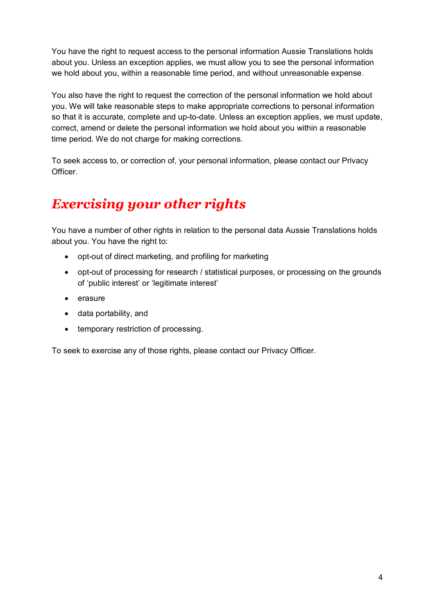You have the right to request access to the personal information Aussie Translations holds about you. Unless an exception applies, we must allow you to see the personal information we hold about you, within a reasonable time period, and without unreasonable expense.

You also have the right to request the correction of the personal information we hold about you. We will take reasonable steps to make appropriate corrections to personal information so that it is accurate, complete and up-to-date. Unless an exception applies, we must update, correct, amend or delete the personal information we hold about you within a reasonable time period. We do not charge for making corrections.

To seek access to, or correction of, your personal information, please contact our Privacy Officer.

# <span id="page-4-0"></span>*Exercising your other rights*

You have a number of other rights in relation to the personal data Aussie Translations holds about you. You have the right to:

- opt-out of direct marketing, and profiling for marketing
- opt-out of processing for research / statistical purposes, or processing on the grounds of 'public interest' or 'legitimate interest'
- erasure
- data portability, and
- temporary restriction of processing.

<span id="page-4-1"></span>To seek to exercise any of those rights, please contact our Privacy Officer.